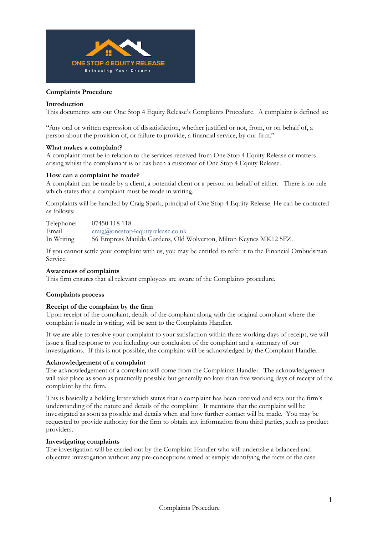

# **Complaints Procedure**

## **Introduction**

This documents sets out One Stop 4 Equity Release's Complaints Procedure. A complaint is defined as:

"Any oral or written expression of dissatisfaction, whether justified or not, from, or on behalf of, a person about the provision of, or failure to provide, a financial service, by our firm."

### **What makes a complaint?**

A complaint must be in relation to the services received from One Stop 4 Equity Release or matters arising whilst the complainant is or has been a customer of One Stop 4 Equity Release.

### **How can a complaint be made?**

A complaint can be made by a client, a potential client or a person on behalf of either. There is no rule which states that a complaint must be made in writing.

Complaints will be handled by Craig Spark, principal of One Stop 4 Equity Release. He can be contacted as follows:

Telephone: 07450 118 118 Email craig@onestop4equityrelease.co.uk In Writing 56 Empress Matilda Gardens, Old Wolverton, Milton Keynes MK12 5FZ.

If you cannot settle your complaint with us, you may be entitled to refer it to the Financial Ombudsman Service.

### **Awareness of complaints**

This firm ensures that all relevant employees are aware of the Complaints procedure.

## **Complaints process**

#### **Receipt of the complaint by the firm**

Upon receipt of the complaint, details of the complaint along with the original complaint where the complaint is made in writing, will be sent to the Complaints Handler.

If we are able to resolve your complaint to your satisfaction within three working days of receipt, we will issue a final response to you including our conclusion of the complaint and a summary of our investigations. If this is not possible, the complaint will be acknowledged by the Complaint Handler.

#### **Acknowledgement of a complaint**

The acknowledgement of a complaint will come from the Complaints Handler. The acknowledgement will take place as soon as practically possible but generally no later than five working days of receipt of the complaint by the firm.

This is basically a holding letter which states that a complaint has been received and sets out the firm's understanding of the nature and details of the complaint. It mentions that the complaint will be investigated as soon as possible and details when and how further contact will be made. You may be requested to provide authority for the firm to obtain any information from third parties, such as product providers.

## **Investigating complaints**

The investigation will be carried out by the Complaint Handler who will undertake a balanced and objective investigation without any pre-conceptions aimed at simply identifying the facts of the case.